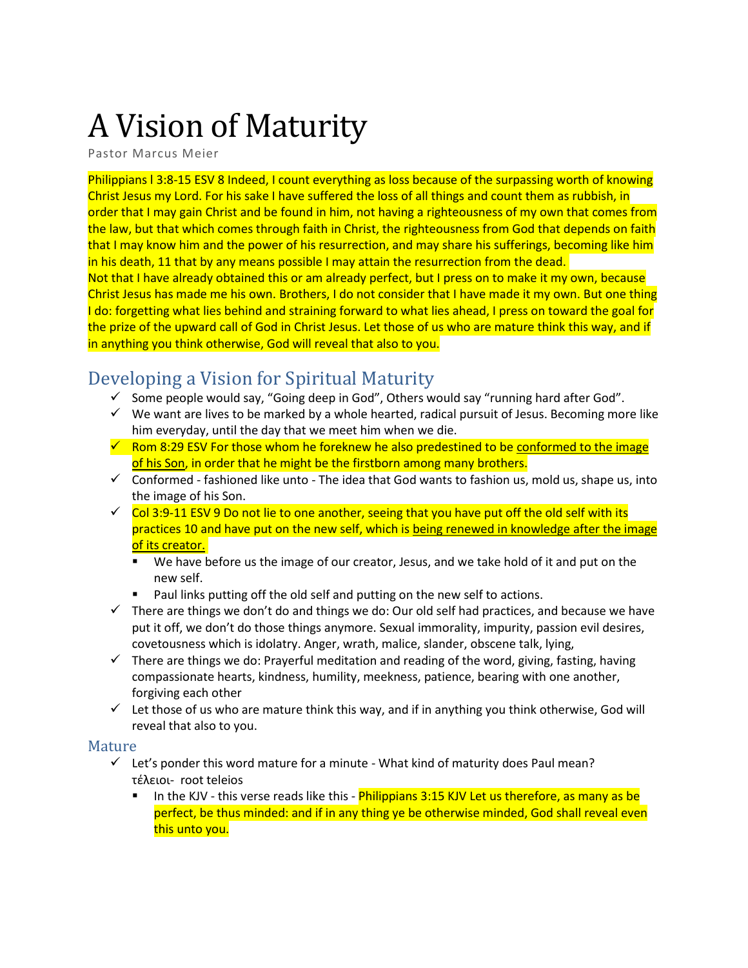# A Vision of Maturity

Pastor Marcus Meier

Philippians l 3:8-15 ESV 8 Indeed, I count everything as loss because of the surpassing worth of knowing Christ Jesus my Lord. For his sake I have suffered the loss of all things and count them as rubbish, in order that I may gain Christ and be found in him, not having a righteousness of my own that comes from the law, but that which comes through faith in Christ, the righteousness from God that depends on faith that I may know him and the power of his resurrection, and may share his sufferings, becoming like him in his death, 11 that by any means possible I may attain the resurrection from the dead.

Not that I have already obtained this or am already perfect, but I press on to make it my own, because Christ Jesus has made me his own. Brothers, I do not consider that I have made it my own. But one thing I do: forgetting what lies behind and straining forward to what lies ahead, I press on toward the goal for the prize of the upward call of God in Christ Jesus. Let those of us who are mature think this way, and if in anything you think otherwise, God will reveal that also to you.

# Developing a Vision for Spiritual Maturity

- $\checkmark$  Some people would say, "Going deep in God", Others would say "running hard after God".
- $\checkmark$  We want are lives to be marked by a whole hearted, radical pursuit of Jesus. Becoming more like him everyday, until the day that we meet him when we die.
- $\checkmark$  Rom 8:29 ESV For those whom he foreknew he also predestined to be conformed to the image of his Son, in order that he might be the firstborn among many brothers.
- $\checkmark$  Conformed fashioned like unto The idea that God wants to fashion us, mold us, shape us, into the image of his Son.
- $\checkmark$  Col 3:9-11 ESV 9 Do not lie to one another, seeing that you have put off the old self with its practices 10 and have put on the new self, which is being renewed in knowledge after the image of its creator.
	- We have before us the image of our creator, Jesus, and we take hold of it and put on the new self.
	- Paul links putting off the old self and putting on the new self to actions.
- $\checkmark$  There are things we don't do and things we do: Our old self had practices, and because we have put it off, we don't do those things anymore. Sexual immorality, impurity, passion evil desires, covetousness which is idolatry. Anger, wrath, malice, slander, obscene talk, lying,
- $\checkmark$  There are things we do: Prayerful meditation and reading of the word, giving, fasting, having compassionate hearts, kindness, humility, meekness, patience, bearing with one another, forgiving each other
- $\checkmark$  Let those of us who are mature think this way, and if in anything you think otherwise, God will reveal that also to you.

#### Mature

- $\checkmark$  Let's ponder this word mature for a minute What kind of maturity does Paul mean? τέλειοι- root teleios
	- **E** In the KJV this verse reads like this *Philippians* 3:15 KJV Let us therefore, as many as be perfect, be thus minded: and if in any thing ye be otherwise minded, God shall reveal even this unto you.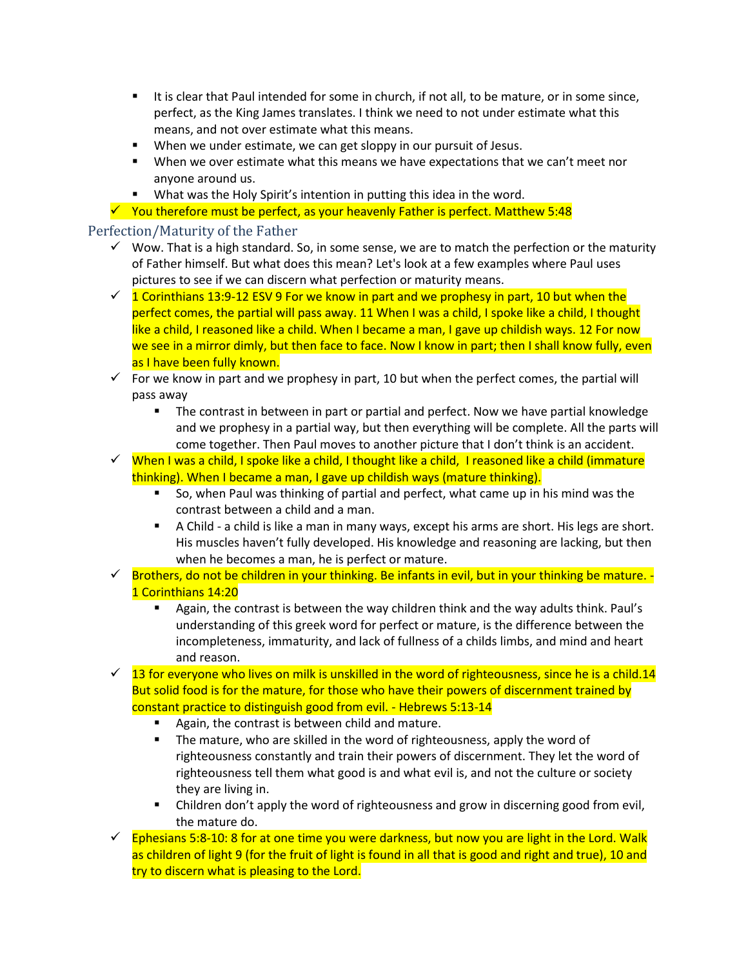- It is clear that Paul intended for some in church, if not all, to be mature, or in some since, perfect, as the King James translates. I think we need to not under estimate what this means, and not over estimate what this means.
- When we under estimate, we can get sloppy in our pursuit of Jesus.
- When we over estimate what this means we have expectations that we can't meet nor anyone around us.
- What was the Holy Spirit's intention in putting this idea in the word.
- $\checkmark$  You therefore must be perfect, as your heavenly Father is perfect. Matthew 5:48

#### Perfection/Maturity of the Father

- $\checkmark$  Wow. That is a high standard. So, in some sense, we are to match the perfection or the maturity of Father himself. But what does this mean? Let's look at a few examples where Paul uses pictures to see if we can discern what perfection or maturity means.
- $\checkmark$  1 Corinthians 13:9-12 ESV 9 For we know in part and we prophesy in part, 10 but when the perfect comes, the partial will pass away. 11 When I was a child, I spoke like a child, I thought like a child, I reasoned like a child. When I became a man, I gave up childish ways. 12 For now we see in a mirror dimly, but then face to face. Now I know in part; then I shall know fully, even as I have been fully known.
- $\checkmark$  For we know in part and we prophesy in part, 10 but when the perfect comes, the partial will pass away
	- The contrast in between in part or partial and perfect. Now we have partial knowledge and we prophesy in a partial way, but then everything will be complete. All the parts will come together. Then Paul moves to another picture that I don't think is an accident.
- $\checkmark$  When I was a child, I spoke like a child, I thought like a child, I reasoned like a child (immature thinking). When I became a man, I gave up childish ways (mature thinking).
	- So, when Paul was thinking of partial and perfect, what came up in his mind was the contrast between a child and a man.
	- **E** A Child a child is like a man in many ways, except his arms are short. His legs are short. His muscles haven't fully developed. His knowledge and reasoning are lacking, but then when he becomes a man, he is perfect or mature.
- ✓ Brothers, do not be children in your thinking. Be infants in evil, but in your thinking be mature. 1 Corinthians 14:20
	- **E** Again, the contrast is between the way children think and the way adults think. Paul's understanding of this greek word for perfect or mature, is the difference between the incompleteness, immaturity, and lack of fullness of a childs limbs, and mind and heart and reason.
- $\checkmark$  13 for everyone who lives on milk is unskilled in the word of righteousness, since he is a child.14 But solid food is for the mature, for those who have their powers of discernment trained by constant practice to distinguish good from evil. - Hebrews 5:13-14
	- Again, the contrast is between child and mature.
	- The mature, who are skilled in the word of righteousness, apply the word of righteousness constantly and train their powers of discernment. They let the word of righteousness tell them what good is and what evil is, and not the culture or society they are living in.
	- Children don't apply the word of righteousness and grow in discerning good from evil, the mature do.
- $\checkmark$  Ephesians 5:8-10: 8 for at one time you were darkness, but now you are light in the Lord. Walk as children of light 9 (for the fruit of light is found in all that is good and right and true), 10 and try to discern what is pleasing to the Lord.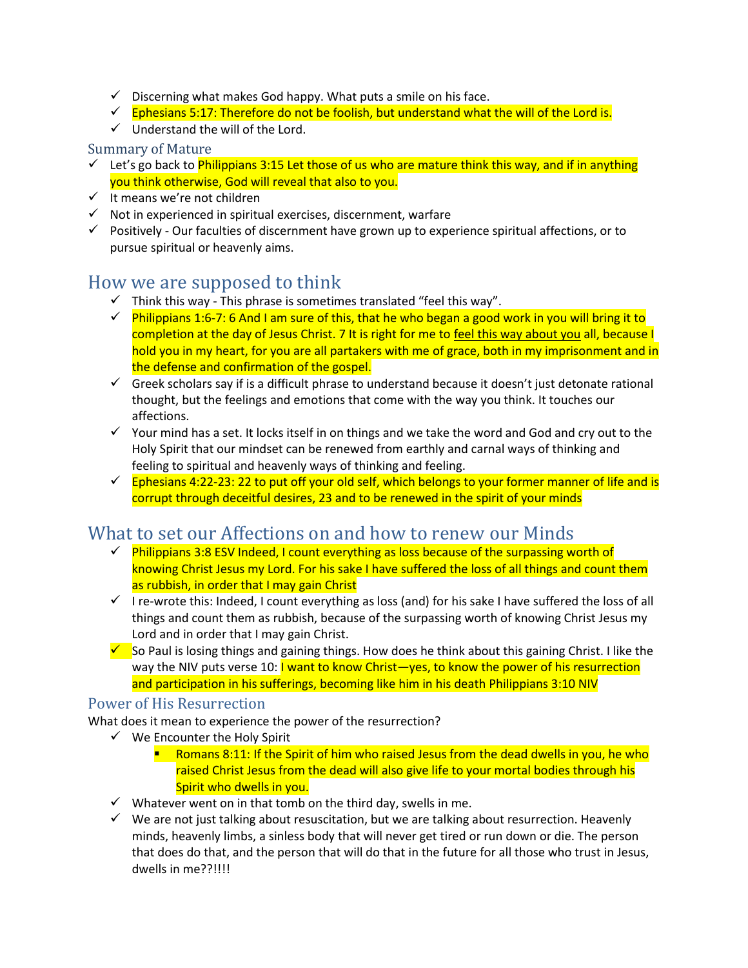- $\checkmark$  Discerning what makes God happy. What puts a smile on his face.
- $\checkmark$  Ephesians 5:17: Therefore do not be foolish, but understand what the will of the Lord is.
- ✓ Understand the will of the Lord.

#### Summary of Mature

- ✓ Let's go back to Philippians 3:15 Let those of us who are mature think this way, and if in anything you think otherwise, God will reveal that also to you.
- ✓ It means we're not children
- $\checkmark$  Not in experienced in spiritual exercises, discernment, warfare
- $\checkmark$  Positively Our faculties of discernment have grown up to experience spiritual affections, or to pursue spiritual or heavenly aims.

## How we are supposed to think

- $\checkmark$  Think this way This phrase is sometimes translated "feel this way".
- $\checkmark$  Philippians 1:6-7: 6 And I am sure of this, that he who began a good work in you will bring it to completion at the day of Jesus Christ. 7 It is right for me to feel this way about you all, because I hold you in my heart, for you are all partakers with me of grace, both in my imprisonment and in the defense and confirmation of the gospel.
- ✓ Greek scholars say if is a difficult phrase to understand because it doesn't just detonate rational thought, but the feelings and emotions that come with the way you think. It touches our affections.
- ✓ Your mind has a set. It locks itself in on things and we take the word and God and cry out to the Holy Spirit that our mindset can be renewed from earthly and carnal ways of thinking and feeling to spiritual and heavenly ways of thinking and feeling.
- $\checkmark$  Ephesians 4:22-23: 22 to put off your old self, which belongs to your former manner of life and is corrupt through deceitful desires, 23 and to be renewed in the spirit of your minds

## What to set our Affections on and how to renew our Minds

- $\checkmark$  Philippians 3:8 ESV Indeed, I count everything as loss because of the surpassing worth of knowing Christ Jesus my Lord. For his sake I have suffered the loss of all things and count them as rubbish, in order that I may gain Christ
- $\checkmark$  I re-wrote this: Indeed, I count everything as loss (and) for his sake I have suffered the loss of all things and count them as rubbish, because of the surpassing worth of knowing Christ Jesus my Lord and in order that I may gain Christ.
- $\checkmark$  So Paul is losing things and gaining things. How does he think about this gaining Christ. I like the way the NIV puts verse 10: I want to know Christ—yes, to know the power of his resurrection and participation in his sufferings, becoming like him in his death Philippians 3:10 NIV

#### Power of His Resurrection

What does it mean to experience the power of the resurrection?

- $\checkmark$  We Encounter the Holy Spirit
	- **E** Romans 8:11: If the Spirit of him who raised Jesus from the dead dwells in you, he who raised Christ Jesus from the dead will also give life to your mortal bodies through his Spirit who dwells in you.
- $\checkmark$  Whatever went on in that tomb on the third day, swells in me.
- $\checkmark$  We are not just talking about resuscitation, but we are talking about resurrection. Heavenly minds, heavenly limbs, a sinless body that will never get tired or run down or die. The person that does do that, and the person that will do that in the future for all those who trust in Jesus, dwells in me??!!!!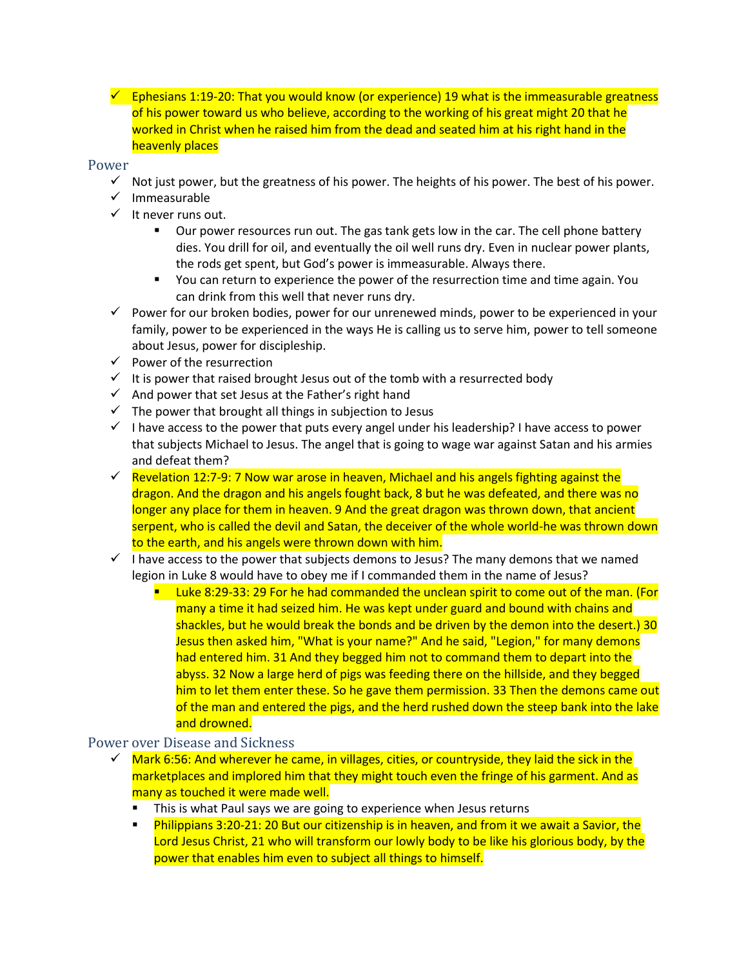$\checkmark$  Ephesians 1:19-20: That you would know (or experience) 19 what is the immeasurable greatness of his power toward us who believe, according to the working of his great might 20 that he worked in Christ when he raised him from the dead and seated him at his right hand in the heavenly places

#### Power

- ✓ Not just power, but the greatness of his power. The heights of his power. The best of his power.
- ✓ Immeasurable
- ✓ It never runs out.
	- Our power resources run out. The gas tank gets low in the car. The cell phone battery dies. You drill for oil, and eventually the oil well runs dry. Even in nuclear power plants, the rods get spent, but God's power is immeasurable. Always there.
	- You can return to experience the power of the resurrection time and time again. You can drink from this well that never runs dry.
- $\checkmark$  Power for our broken bodies, power for our unrenewed minds, power to be experienced in your family, power to be experienced in the ways He is calling us to serve him, power to tell someone about Jesus, power for discipleship.
- $\checkmark$  Power of the resurrection
- $\checkmark$  It is power that raised brought Jesus out of the tomb with a resurrected body
- $\checkmark$  And power that set Jesus at the Father's right hand
- $\checkmark$  The power that brought all things in subjection to Jesus
- $\checkmark$  I have access to the power that puts every angel under his leadership? I have access to power that subjects Michael to Jesus. The angel that is going to wage war against Satan and his armies and defeat them?
- $\checkmark$  Revelation 12:7-9: 7 Now war arose in heaven, Michael and his angels fighting against the dragon. And the dragon and his angels fought back, 8 but he was defeated, and there was no longer any place for them in heaven. 9 And the great dragon was thrown down, that ancient serpent, who is called the devil and Satan, the deceiver of the whole world-he was thrown down to the earth, and his angels were thrown down with him.
- $\checkmark$  I have access to the power that subjects demons to Jesus? The many demons that we named legion in Luke 8 would have to obey me if I commanded them in the name of Jesus?
	- **E** Luke 8:29-33: 29 For he had commanded the unclean spirit to come out of the man. (For many a time it had seized him. He was kept under guard and bound with chains and shackles, but he would break the bonds and be driven by the demon into the desert.) 30 Jesus then asked him, "What is your name?" And he said, "Legion," for many demons had entered him. 31 And they begged him not to command them to depart into the abyss. 32 Now a large herd of pigs was feeding there on the hillside, and they begged him to let them enter these. So he gave them permission. 33 Then the demons came out of the man and entered the pigs, and the herd rushed down the steep bank into the lake and drowned.

#### Power over Disease and Sickness

- Mark 6:56: And wherever he came, in villages, cities, or countryside, they laid the sick in the marketplaces and implored him that they might touch even the fringe of his garment. And as many as touched it were made well.
	- This is what Paul says we are going to experience when Jesus returns
	- **EXECT** Philippians 3:20-21: 20 But our citizenship is in heaven, and from it we await a Savior, the Lord Jesus Christ, 21 who will transform our lowly body to be like his glorious body, by the power that enables him even to subject all things to himself.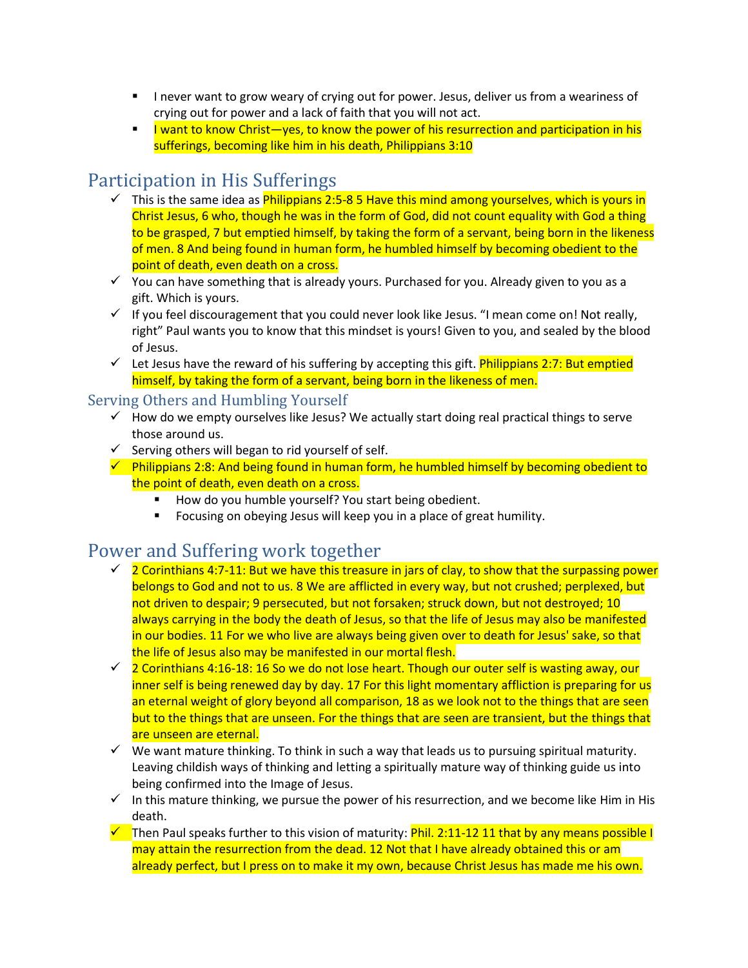- I never want to grow weary of crying out for power. Jesus, deliver us from a weariness of crying out for power and a lack of faith that you will not act.
- I want to know Christ—yes, to know the power of his resurrection and participation in his sufferings, becoming like him in his death, Philippians 3:10

## Participation in His Sufferings

- $\checkmark$  This is the same idea as Philippians 2:5-8 5 Have this mind among yourselves, which is yours in Christ Jesus, 6 who, though he was in the form of God, did not count equality with God a thing to be grasped, 7 but emptied himself, by taking the form of a servant, being born in the likeness of men. 8 And being found in human form, he humbled himself by becoming obedient to the point of death, even death on a cross.
- ✓ You can have something that is already yours. Purchased for you. Already given to you as a gift. Which is yours.
- ✓ If you feel discouragement that you could never look like Jesus. "I mean come on! Not really, right" Paul wants you to know that this mindset is yours! Given to you, and sealed by the blood of Jesus.
- $\checkmark$  Let Jesus have the reward of his suffering by accepting this gift. Philippians 2:7: But emptied himself, by taking the form of a servant, being born in the likeness of men.

## Serving Others and Humbling Yourself

- $\checkmark$  How do we empty ourselves like Jesus? We actually start doing real practical things to serve those around us.
- $\checkmark$  Serving others will began to rid yourself of self.
- $\checkmark$  Philippians 2:8: And being found in human form, he humbled himself by becoming obedient to the point of death, even death on a cross.
	- How do you humble yourself? You start being obedient.
	- Focusing on obeying Jesus will keep you in a place of great humility.

# Power and Suffering work together

- $\check{z}$  2 Corinthians 4:7-11: But we have this treasure in jars of clay, to show that the surpassing power belongs to God and not to us. 8 We are afflicted in every way, but not crushed; perplexed, but not driven to despair; 9 persecuted, but not forsaken; struck down, but not destroyed; 10 always carrying in the body the death of Jesus, so that the life of Jesus may also be manifested in our bodies. 11 For we who live are always being given over to death for Jesus' sake, so that the life of Jesus also may be manifested in our mortal flesh.
- ✓ 2 Corinthians 4:16-18: 16 So we do not lose heart. Though our outer self is wasting away, our inner self is being renewed day by day. 17 For this light momentary affliction is preparing for us an eternal weight of glory beyond all comparison, 18 as we look not to the things that are seen but to the things that are unseen. For the things that are seen are transient, but the things that are unseen are eternal.
- $\checkmark$  We want mature thinking. To think in such a way that leads us to pursuing spiritual maturity. Leaving childish ways of thinking and letting a spiritually mature way of thinking guide us into being confirmed into the Image of Jesus.
- $\checkmark$  In this mature thinking, we pursue the power of his resurrection, and we become like Him in His death.
- $\checkmark$  Then Paul speaks further to this vision of maturity: Phil. 2:11-12 11 that by any means possible I may attain the resurrection from the dead. 12 Not that I have already obtained this or am already perfect, but I press on to make it my own, because Christ Jesus has made me his own.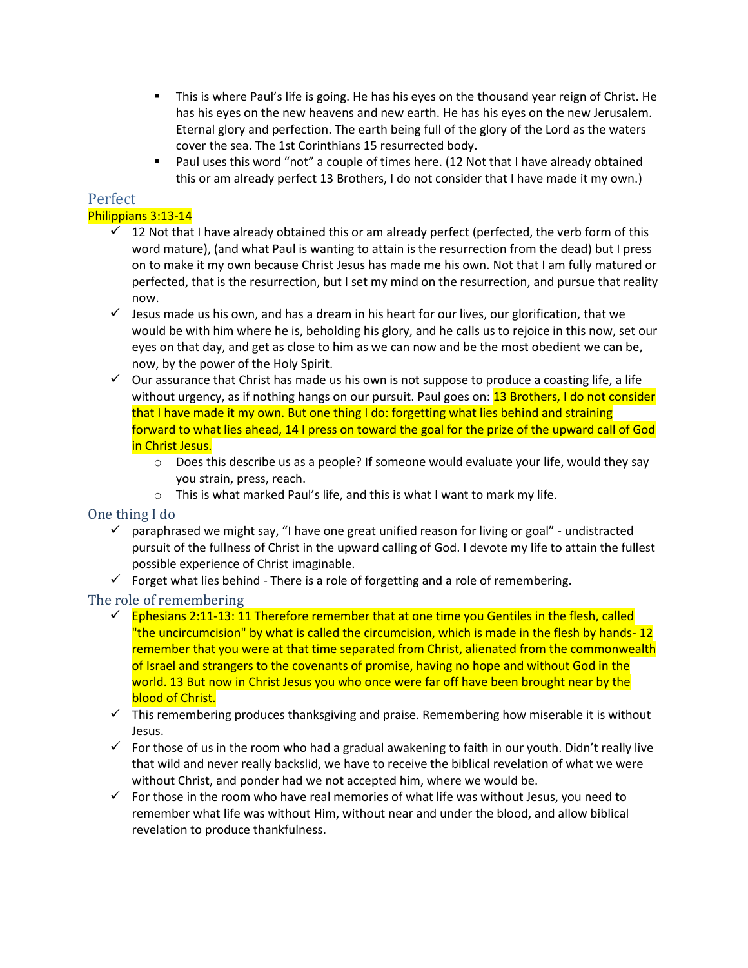- **This is where Paul's life is going. He has his eyes on the thousand year reign of Christ. He** has his eyes on the new heavens and new earth. He has his eyes on the new Jerusalem. Eternal glory and perfection. The earth being full of the glory of the Lord as the waters cover the sea. The 1st Corinthians 15 resurrected body.
- Paul uses this word "not" a couple of times here. (12 Not that I have already obtained this or am already perfect 13 Brothers, I do not consider that I have made it my own.)

#### Perfect Philippians 3:13-14

- $\checkmark$  12 Not that I have already obtained this or am already perfect (perfected, the verb form of this word mature), (and what Paul is wanting to attain is the resurrection from the dead) but I press on to make it my own because Christ Jesus has made me his own. Not that I am fully matured or perfected, that is the resurrection, but I set my mind on the resurrection, and pursue that reality now.
- $\checkmark$  Jesus made us his own, and has a dream in his heart for our lives, our glorification, that we would be with him where he is, beholding his glory, and he calls us to rejoice in this now, set our eyes on that day, and get as close to him as we can now and be the most obedient we can be, now, by the power of the Holy Spirit.
- $\checkmark$  Our assurance that Christ has made us his own is not suppose to produce a coasting life, a life without urgency, as if nothing hangs on our pursuit. Paul goes on: 13 Brothers, I do not consider that I have made it my own. But one thing I do: forgetting what lies behind and straining forward to what lies ahead, 14 I press on toward the goal for the prize of the upward call of God in Christ Jesus.
	- $\circ$  Does this describe us as a people? If someone would evaluate your life, would they say you strain, press, reach.
	- o This is what marked Paul's life, and this is what I want to mark my life.

## One thing I do

- $\checkmark$  paraphrased we might say, "I have one great unified reason for living or goal" undistracted pursuit of the fullness of Christ in the upward calling of God. I devote my life to attain the fullest possible experience of Christ imaginable.
- $\checkmark$  Forget what lies behind There is a role of forgetting and a role of remembering.

## The role of remembering

- $\checkmark$  Ephesians 2:11-13: 11 Therefore remember that at one time you Gentiles in the flesh, called "the uncircumcision" by what is called the circumcision, which is made in the flesh by hands- 12 remember that you were at that time separated from Christ, alienated from the commonwealth of Israel and strangers to the covenants of promise, having no hope and without God in the world. 13 But now in Christ Jesus you who once were far off have been brought near by the blood of Christ.
- $\checkmark$  This remembering produces thanksgiving and praise. Remembering how miserable it is without Jesus.
- $\checkmark$  For those of us in the room who had a gradual awakening to faith in our youth. Didn't really live that wild and never really backslid, we have to receive the biblical revelation of what we were without Christ, and ponder had we not accepted him, where we would be.
- $\checkmark$  For those in the room who have real memories of what life was without Jesus, you need to remember what life was without Him, without near and under the blood, and allow biblical revelation to produce thankfulness.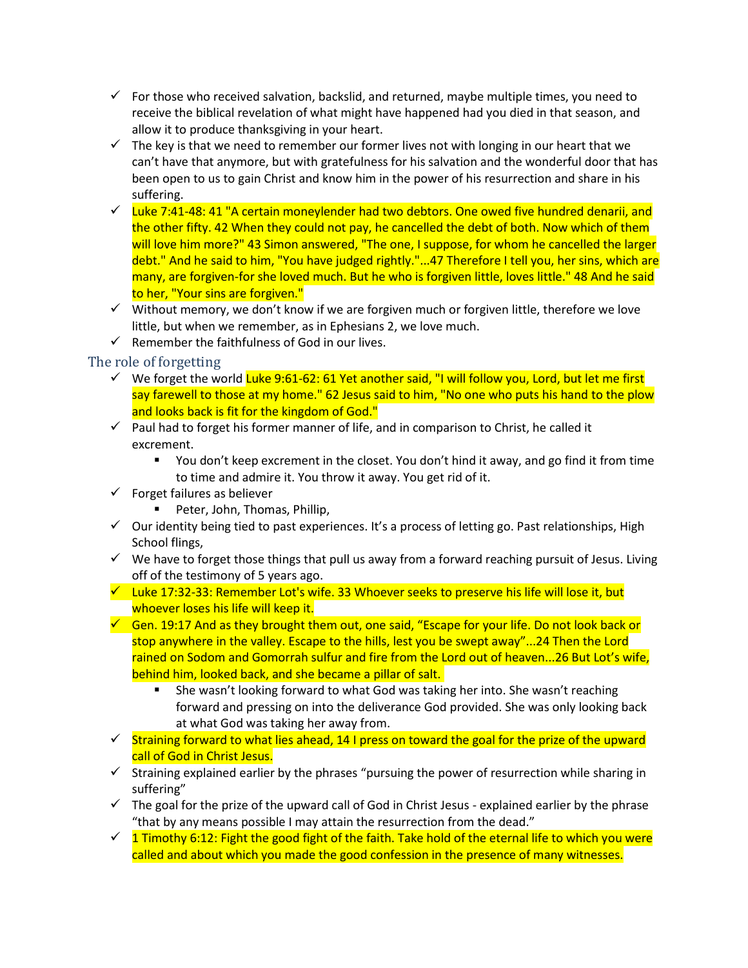- $\checkmark$  For those who received salvation, backslid, and returned, maybe multiple times, you need to receive the biblical revelation of what might have happened had you died in that season, and allow it to produce thanksgiving in your heart.
- $\checkmark$  The key is that we need to remember our former lives not with longing in our heart that we can't have that anymore, but with gratefulness for his salvation and the wonderful door that has been open to us to gain Christ and know him in the power of his resurrection and share in his suffering.
- $\checkmark$  Luke 7:41-48: 41 "A certain moneylender had two debtors. One owed five hundred denarii, and the other fifty. 42 When they could not pay, he cancelled the debt of both. Now which of them will love him more?" 43 Simon answered, "The one, I suppose, for whom he cancelled the larger debt." And he said to him, "You have judged rightly."...47 Therefore I tell you, her sins, which are many, are forgiven-for she loved much. But he who is forgiven little, loves little." 48 And he said to her, "Your sins are forgiven."
- $\checkmark$  Without memory, we don't know if we are forgiven much or forgiven little, therefore we love little, but when we remember, as in Ephesians 2, we love much.
- $\checkmark$  Remember the faithfulness of God in our lives.

#### The role of forgetting

- ✓ We forget the world Luke 9:61-62: 61 Yet another said, "I will follow you, Lord, but let me first say farewell to those at my home." 62 Jesus said to him, "No one who puts his hand to the plow and looks back is fit for the kingdom of God."
- $\checkmark$  Paul had to forget his former manner of life, and in comparison to Christ, he called it excrement.
	- You don't keep excrement in the closet. You don't hind it away, and go find it from time to time and admire it. You throw it away. You get rid of it.
- $\checkmark$  Forget failures as believer
	- Peter, John, Thomas, Phillip,
- $\checkmark$  Our identity being tied to past experiences. It's a process of letting go. Past relationships, High School flings,
- $\checkmark$  We have to forget those things that pull us away from a forward reaching pursuit of Jesus. Living off of the testimony of 5 years ago.
- $\checkmark$  Luke 17:32-33: Remember Lot's wife. 33 Whoever seeks to preserve his life will lose it, but whoever loses his life will keep it.
- $\checkmark$  Gen. 19:17 And as they brought them out, one said, "Escape for your life. Do not look back or stop anywhere in the valley. Escape to the hills, lest you be swept away"...24 Then the Lord rained on Sodom and Gomorrah sulfur and fire from the Lord out of heaven...26 But Lot's wife, behind him, looked back, and she became a pillar of salt.
	- She wasn't looking forward to what God was taking her into. She wasn't reaching forward and pressing on into the deliverance God provided. She was only looking back at what God was taking her away from.
- ✓ Straining forward to what lies ahead, 14 I press on toward the goal for the prize of the upward call of God in Christ Jesus.
- $\checkmark$  Straining explained earlier by the phrases "pursuing the power of resurrection while sharing in suffering"
- $\checkmark$  The goal for the prize of the upward call of God in Christ Jesus explained earlier by the phrase "that by any means possible I may attain the resurrection from the dead."
- $\check{q}$  1 Timothy 6:12: Fight the good fight of the faith. Take hold of the eternal life to which you were called and about which you made the good confession in the presence of many witnesses.